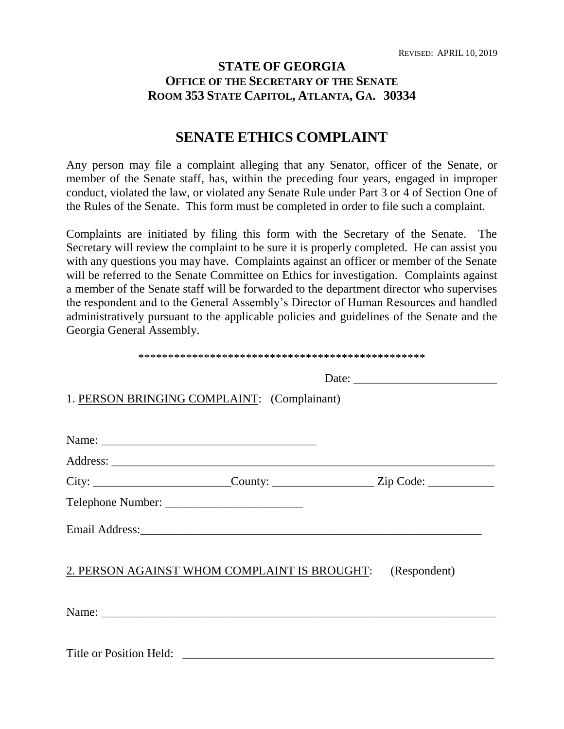## **STATE OF GEORGIA OFFICE OF THE SECRETARY OF THE SENATE** ROOM 353 STATE CAPITOL, ATLANTA, GA. 30334

# **SENATE ETHICS COMPLAINT**

Any person may file a complaint alleging that any Senator, officer of the Senate, or member of the Senate staff, has, within the preceding four years, engaged in improper conduct, violated the law, or violated any Senate Rule under Part 3 or 4 of Section One of the Rules of the Senate. This form must be completed in order to file such a complaint.

Complaints are initiated by filing this form with the Secretary of the Senate. The Secretary will review the complaint to be sure it is properly completed. He can assist you with any questions you may have. Complaints against an officer or member of the Senate will be referred to the Senate Committee on Ethics for investigation. Complaints against a member of the Senate staff will be forwarded to the department director who supervises the respondent and to the General Assembly's Director of Human Resources and handled administratively pursuant to the applicable policies and guidelines of the Senate and the Georgia General Assembly.

| 1. PERSON BRINGING COMPLAINT: (Complainant)                                                                                                                                                                                   |                                                                                          |
|-------------------------------------------------------------------------------------------------------------------------------------------------------------------------------------------------------------------------------|------------------------------------------------------------------------------------------|
|                                                                                                                                                                                                                               |                                                                                          |
|                                                                                                                                                                                                                               |                                                                                          |
|                                                                                                                                                                                                                               |                                                                                          |
|                                                                                                                                                                                                                               | City: ____________________________County: ______________________Zip Code: ______________ |
|                                                                                                                                                                                                                               |                                                                                          |
|                                                                                                                                                                                                                               |                                                                                          |
|                                                                                                                                                                                                                               |                                                                                          |
|                                                                                                                                                                                                                               | 2. PERSON AGAINST WHOM COMPLAINT IS BROUGHT: (Respondent)                                |
|                                                                                                                                                                                                                               |                                                                                          |
| Name: Name and the second contract of the second contract of the second contract of the second contract of the second contract of the second contract of the second contract of the second contract of the second contract of |                                                                                          |
|                                                                                                                                                                                                                               |                                                                                          |
|                                                                                                                                                                                                                               |                                                                                          |
|                                                                                                                                                                                                                               |                                                                                          |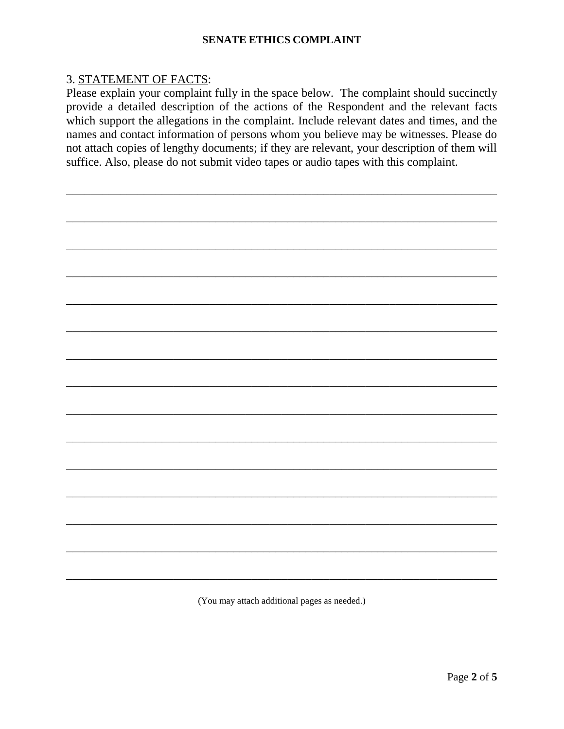#### 3. STATEMENT OF FACTS:

Please explain your complaint fully in the space below. The complaint should succinctly provide a detailed description of the actions of the Respondent and the relevant facts which support the allegations in the complaint. Include relevant dates and times, and the names and contact information of persons whom you believe may be witnesses. Please do not attach copies of lengthy documents; if they are relevant, your description of them will suffice. Also, please do not submit video tapes or audio tapes with this complaint.

\_\_\_\_\_\_\_\_\_\_\_\_\_\_\_\_\_\_\_\_\_\_\_\_\_\_\_\_\_\_\_\_\_\_\_\_\_\_\_\_\_\_\_\_\_\_\_\_\_\_\_\_\_\_\_\_\_\_\_\_\_\_\_\_\_\_\_\_\_\_\_\_

\_\_\_\_\_\_\_\_\_\_\_\_\_\_\_\_\_\_\_\_\_\_\_\_\_\_\_\_\_\_\_\_\_\_\_\_\_\_\_\_\_\_\_\_\_\_\_\_\_\_\_\_\_\_\_\_\_\_\_\_\_\_\_\_\_\_\_\_\_\_\_\_

\_\_\_\_\_\_\_\_\_\_\_\_\_\_\_\_\_\_\_\_\_\_\_\_\_\_\_\_\_\_\_\_\_\_\_\_\_\_\_\_\_\_\_\_\_\_\_\_\_\_\_\_\_\_\_\_\_\_\_\_\_\_\_\_\_\_\_\_\_\_\_\_

\_\_\_\_\_\_\_\_\_\_\_\_\_\_\_\_\_\_\_\_\_\_\_\_\_\_\_\_\_\_\_\_\_\_\_\_\_\_\_\_\_\_\_\_\_\_\_\_\_\_\_\_\_\_\_\_\_\_\_\_\_\_\_\_\_\_\_\_\_\_\_\_

\_\_\_\_\_\_\_\_\_\_\_\_\_\_\_\_\_\_\_\_\_\_\_\_\_\_\_\_\_\_\_\_\_\_\_\_\_\_\_\_\_\_\_\_\_\_\_\_\_\_\_\_\_\_\_\_\_\_\_\_\_\_\_\_\_\_\_\_\_\_\_\_

\_\_\_\_\_\_\_\_\_\_\_\_\_\_\_\_\_\_\_\_\_\_\_\_\_\_\_\_\_\_\_\_\_\_\_\_\_\_\_\_\_\_\_\_\_\_\_\_\_\_\_\_\_\_\_\_\_\_\_\_\_\_\_\_\_\_\_\_\_\_\_\_

\_\_\_\_\_\_\_\_\_\_\_\_\_\_\_\_\_\_\_\_\_\_\_\_\_\_\_\_\_\_\_\_\_\_\_\_\_\_\_\_\_\_\_\_\_\_\_\_\_\_\_\_\_\_\_\_\_\_\_\_\_\_\_\_\_\_\_\_\_\_\_\_

\_\_\_\_\_\_\_\_\_\_\_\_\_\_\_\_\_\_\_\_\_\_\_\_\_\_\_\_\_\_\_\_\_\_\_\_\_\_\_\_\_\_\_\_\_\_\_\_\_\_\_\_\_\_\_\_\_\_\_\_\_\_\_\_\_\_\_\_\_\_\_\_

\_\_\_\_\_\_\_\_\_\_\_\_\_\_\_\_\_\_\_\_\_\_\_\_\_\_\_\_\_\_\_\_\_\_\_\_\_\_\_\_\_\_\_\_\_\_\_\_\_\_\_\_\_\_\_\_\_\_\_\_\_\_\_\_\_\_\_\_\_\_\_\_

\_\_\_\_\_\_\_\_\_\_\_\_\_\_\_\_\_\_\_\_\_\_\_\_\_\_\_\_\_\_\_\_\_\_\_\_\_\_\_\_\_\_\_\_\_\_\_\_\_\_\_\_\_\_\_\_\_\_\_\_\_\_\_\_\_\_\_\_\_\_\_\_

\_\_\_\_\_\_\_\_\_\_\_\_\_\_\_\_\_\_\_\_\_\_\_\_\_\_\_\_\_\_\_\_\_\_\_\_\_\_\_\_\_\_\_\_\_\_\_\_\_\_\_\_\_\_\_\_\_\_\_\_\_\_\_\_\_\_\_\_\_\_\_\_

\_\_\_\_\_\_\_\_\_\_\_\_\_\_\_\_\_\_\_\_\_\_\_\_\_\_\_\_\_\_\_\_\_\_\_\_\_\_\_\_\_\_\_\_\_\_\_\_\_\_\_\_\_\_\_\_\_\_\_\_\_\_\_\_\_\_\_\_\_\_\_\_

\_\_\_\_\_\_\_\_\_\_\_\_\_\_\_\_\_\_\_\_\_\_\_\_\_\_\_\_\_\_\_\_\_\_\_\_\_\_\_\_\_\_\_\_\_\_\_\_\_\_\_\_\_\_\_\_\_\_\_\_\_\_\_\_\_\_\_\_\_\_\_\_

\_\_\_\_\_\_\_\_\_\_\_\_\_\_\_\_\_\_\_\_\_\_\_\_\_\_\_\_\_\_\_\_\_\_\_\_\_\_\_\_\_\_\_\_\_\_\_\_\_\_\_\_\_\_\_\_\_\_\_\_\_\_\_\_\_\_\_\_\_\_\_\_

(You may attach additional pages as needed.)

\_\_\_\_\_\_\_\_\_\_\_\_\_\_\_\_\_\_\_\_\_\_\_\_\_\_\_\_\_\_\_\_\_\_\_\_\_\_\_\_\_\_\_\_\_\_\_\_\_\_\_\_\_\_\_\_\_\_\_\_\_\_\_\_\_\_\_\_\_\_\_\_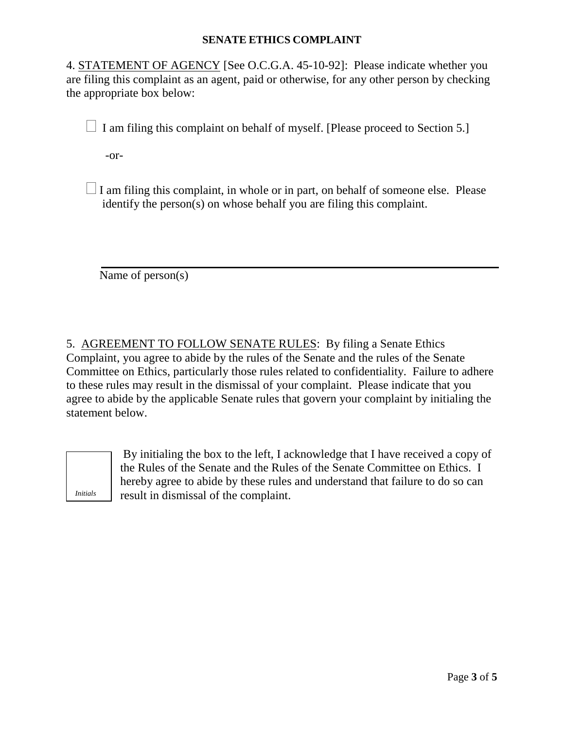4. STATEMENT OF AGENCY [See O.C.G.A. 45-10-92]: Please indicate whether you are filing this complaint as an agent, paid or otherwise, for any other person by checking the appropriate box below:

 $\Box$  I am filing this complaint on behalf of myself. [Please proceed to Section 5.]

-or-

 $\Box$  I am filing this complaint, in whole or in part, on behalf of someone else. Please identify the person(s) on whose behalf you are filing this complaint.

Name of person(s)

5. AGREEMENT TO FOLLOW SENATE RULES: By filing a Senate Ethics Complaint, you agree to abide by the rules of the Senate and the rules of the Senate Committee on Ethics, particularly those rules related to confidentiality. Failure to adhere to these rules may result in the dismissal of your complaint. Please indicate that you agree to abide by the applicable Senate rules that govern your complaint by initialing the statement below.



By initialing the box to the left, I acknowledge that I have received a copy of the Rules of the Senate and the Rules of the Senate Committee on Ethics. I hereby agree to abide by these rules and understand that failure to do so can result in dismissal of the complaint.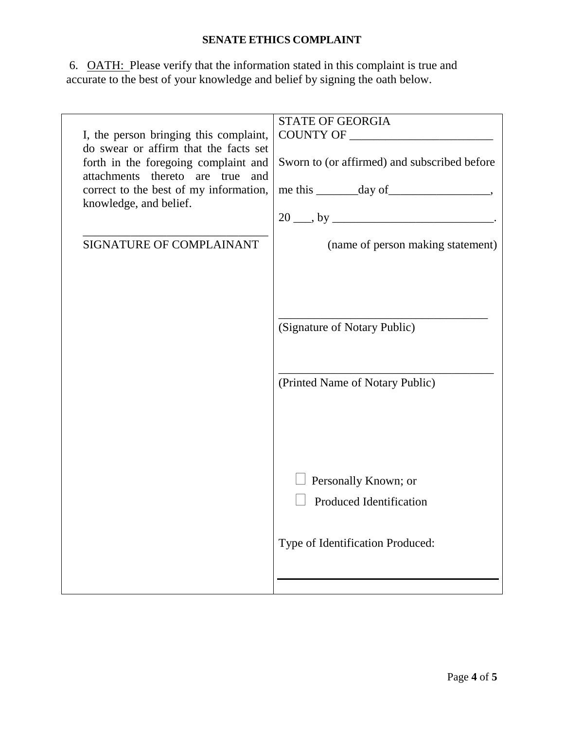6. **OATH:** Please verify that the information stated in this complaint is true and accurate to the best of your knowledge and belief by signing the oath below.

|                                        | <b>STATE OF GEORGIA</b>                                        |
|----------------------------------------|----------------------------------------------------------------|
| I, the person bringing this complaint, |                                                                |
| do swear or affirm that the facts set  |                                                                |
| forth in the foregoing complaint and   | Sworn to (or affirmed) and subscribed before                   |
| attachments thereto are true<br>and    |                                                                |
| correct to the best of my information, | $me$ this $\rule{1em}{0.15mm}$ day of $\rule{1.5mm}{0.15mm}$ . |
| knowledge, and belief.                 |                                                                |
|                                        | $20 \_\_$ , by $\_\_$                                          |
| SIGNATURE OF COMPLAINANT               |                                                                |
|                                        | (name of person making statement)                              |
|                                        |                                                                |
|                                        |                                                                |
|                                        |                                                                |
|                                        |                                                                |
|                                        | (Signature of Notary Public)                                   |
|                                        |                                                                |
|                                        |                                                                |
|                                        |                                                                |
|                                        | (Printed Name of Notary Public)                                |
|                                        |                                                                |
|                                        |                                                                |
|                                        |                                                                |
|                                        |                                                                |
|                                        |                                                                |
|                                        | Personally Known; or                                           |
|                                        | <b>Produced Identification</b>                                 |
|                                        |                                                                |
|                                        |                                                                |
|                                        | Type of Identification Produced:                               |
|                                        |                                                                |
|                                        |                                                                |
|                                        |                                                                |